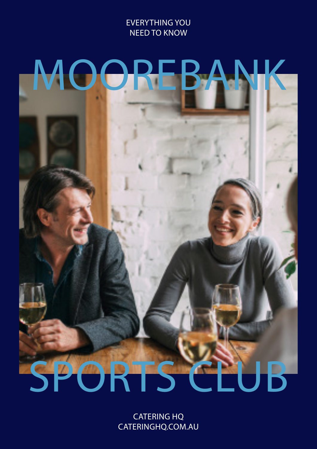EVERYTHING YOU NEED TO KNOW

# **MOOREBA** SPORTS CLUB

CATERING HQ CATERINGHQ.COM.AU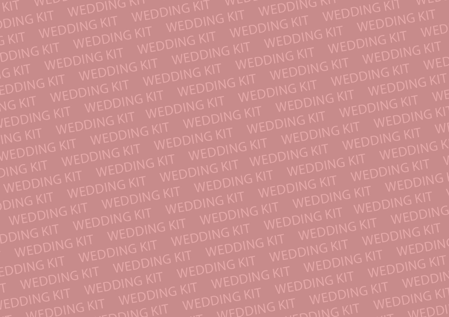KIT WEDDING KIT WEDDING KIT WEDDING KIT WEDDING KIT WEDDING KIT WEDDING KIT WEDDING KIT WEDDING KIT WEDDING KIT<br>S KIT WEDDING KIT WEDDING KIT WEDDING KIT WEDDING KIT WEDDING KIT WEDDING KIT WEDDING KIT WEDDING KIT WEDDING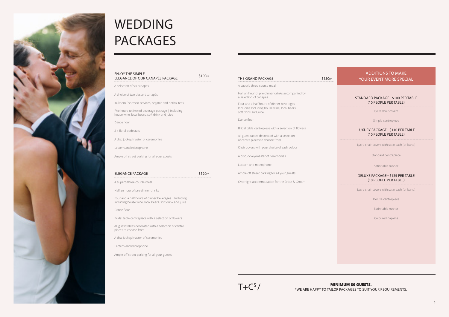| <b>ENJOY THE SIMPLE</b><br>ELEGANCE OF OUR CANAPÉS PACKAGE                                                       | \$100 <sub>PP</sub> | <b>THE GRAI</b>                            |
|------------------------------------------------------------------------------------------------------------------|---------------------|--------------------------------------------|
| A selection of six canapés                                                                                       |                     | A superb th                                |
| A choice of two dessert canapés                                                                                  |                     | Half an hou<br>a selection                 |
| In-Room Espresso services, organic and herbal teas<br>Five hours unlimited beverage package   Including          |                     | Four and a<br>Including Ir<br>soft drink a |
| house wine, local beers, soft drink and juice<br>Dance floor                                                     |                     | Dance floo                                 |
| 2 x floral pedestals                                                                                             |                     | Bridal table                               |
| A disc jockey/master of ceremonies                                                                               |                     | All guest ta<br>of centre p                |
| Lectern and microphone                                                                                           |                     | Chair cover                                |
| Ample off street parking for all your guests                                                                     |                     | A disc jock                                |
|                                                                                                                  |                     | Lectern an                                 |
| ELEGANCE PACKAGE                                                                                                 | \$120 <sub>PP</sub> | Ample off s                                |
| A superb three course meal                                                                                       |                     | Overnight a                                |
| Half an hour of pre-dinner drinks                                                                                |                     |                                            |
| Four and a half hours of dinner beverages   Including<br>Including house wine, local beers, soft drink and juice |                     |                                            |
| Dance floor                                                                                                      |                     |                                            |
| Bridal table centrepiece with a selection of flowers                                                             |                     |                                            |
| All guest tables decorated with a selection of centre<br>pieces to choose from                                   |                     |                                            |
| A disc jockey/master of ceremonies                                                                               |                     |                                            |
| Lectern and microphone                                                                                           |                     |                                            |

Ample off street parking for all your guests

| THE GRAND PACKAGE                                                                                                 | \$150 <sub>PP</sub> |
|-------------------------------------------------------------------------------------------------------------------|---------------------|
| A superb three course meal                                                                                        |                     |
| Half an hour of pre-dinner drinks accompanied by<br>a selection of canapes                                        |                     |
| Four and a half hours of dinner beverages<br>Including Including house wine, local beers,<br>soft drink and juice |                     |
| Dance floor                                                                                                       |                     |
| Bridal table centrepiece with a selection of flowers                                                              |                     |
| All guest tables decorated with a selection<br>of centre pieces to choose from                                    |                     |
| Chair covers with your choice of sash colour                                                                      |                     |
| A disc jockey/master of ceremonies                                                                                |                     |
| Lectern and microphone                                                                                            |                     |
| Ample off street parking for all your guests                                                                      |                     |
| Overnight accommodation for the Bride & Groom                                                                     |                     |
|                                                                                                                   |                     |
|                                                                                                                   |                     |
|                                                                                                                   |                     |

 $T + C^5/$ 



# WEDDING PACKAGES

### STANDARD PACKAGE - \$100 PER TABLE (10 PEOPLE PER TABLE)

Lycra chair covers

Simple centrepiece

### LUXURY PACKAGE - \$110 PER TABLE (10 PEOPLE PER TABLE)

Lycra chair covers with satin sash (or band)

Standard centrepiece

Satin table runner

### DELUXE PACKAGE - \$135 PER TABLE (10 PEOPLE PER TABLE)

Lycra chair covers with satin sash (or band)

Deluxe centrepiece

Satin table runner

Coloured napkins

## ADDITIONS TO MAKE YOUR EVENT MORE SPECIAL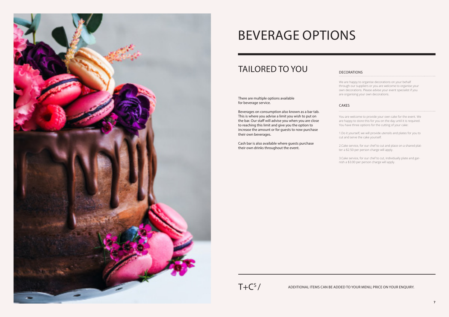### DECORATIONS

We are happy to organise decorations on your behalf through our suppliers or you are welcome to organise your own decorations. Please advise your event specialist if you are organising your own decorations.

### CAKES

You are welcome to provide your own cake for the event. We are happy to store this for you on the day until it is required. You have three options for the cutting of your cake:

1.Do it yourself, we will provide utensils and plates for you to cut and serve the cake yourself.

2.Cake service, for our chef to cut and place on a shared platter a \$2.50 per person charge will apply.

3.Cake service, for our chef to cut, individually plate and garnish a \$3.00 per person charge will apply.

 $T+C<sup>S</sup> /$  additional items can be added to your menu, price on your enquiry.



# BEVERAGE OPTIONS

# TAILORED TO YOU

There are multiple options available for beverage service.

Beverages on consumption also known as a bar tab. This is where you advise a limit you wish to put on the bar. Our staff will advise you when you are close to reaching this limit and give you the option to increase the amount or for guests to now purchase their own beverages.

Cash bar is also available where guests purchase their own drinks throughout the event.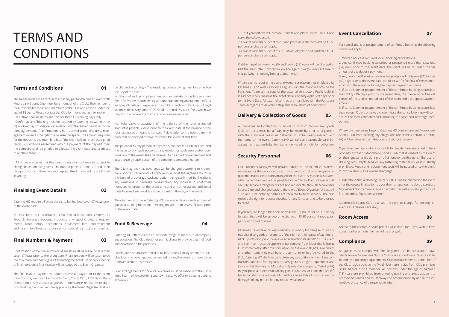# TERMS AND CONDITIONS

### **Terms and Conditions 01**

The Registered Clubs Act requires that any person holding an event with Moorebank Sports Club must be a member of the Club. The member is then responsible for all non-members of the Club and anyone under the

age of 18 years. Please contact the Club for membership information. • Tentative booking dates are held for three (3) working days only. • Confirmation of booking must be received by Catering HQ within three (3) working days of original reservation with the signed terms & conditions agreement. If confirmation is not received within this time, management reserves the right the release the space. The amount required for the deposit is the room hire fee. If the client fails to return the signed terms & conditions agreement with the payment of the deposit, then the company shall be entitled to allocate the event date and premises

to another client.

• All prices are current at the time of quotation but may be subject to change based on rising costs. The quoted prices include GST and upon receipt of your confirmation and deposit, fixed prices will be confirmed in writing.

### **Finalising Event Details 02**

Catering HQ require all event details to be finalised seven (7) days prior to the event date.

At this time our Functions Team will discuss and confirm all Food & Beverage options, including: any specific dietary requirements, room setup, decorations, equipment hire, entertainment and any miscellaneous expenses or special instructions required.

### **Final Numbers & Payment 03**

Confirmation of the final numbers of guests must be made no less than seven (7) days prior to the event date. Final numbers will be taken to be the minimum number of guests attending the event. Upon confirmation of final numbers a final invoice will be issued to the Event Organiser.

The final invoice payment is required seven (7) days prior to the event date. This payment can be made in Cash, Credit Card, EFTPOS or Bank Cheque only. Any additional guests in attendance on the event date, post final payment, will require approval by the Event Organiser and will 1. Do it yourself, we will provide utensils and plates for you to cut and serve the cake yourself.

2. Cake service, for our chef to cut and place on a shared platter a \$2.50 per person charge will apply.

3. Cake service, for our chef to cut, individually plate and garnish a \$3.00 per person charge will apply.

Children aged between five (5) and twelve (12) years will be charged at half the adult rate. Children below the age of five (5) years are free of charge (when choosing from a buffet menu).

Where events require the use of external contractors not employed by Catering HQ or Wests Ashfield Leagues Club, the client will provide the Functions Team with a copy of the external contractors Public Liability Insurance when finalising the event details, twenty eight (28) days prior to the Event Date. All external contractors must liaise with the Functions Team in regards to delivery, setup and break down of equipment.

### **Delivery & Collection of Goods 05**

All deliveries and collections of goods to or from Moorebank Sports Club on the client's behalf can only be made by prior arrangement with the Functions Team. All deliveries must be clearly marked with the name of the event. Catering HQ will take all reasonable care but accept no responsibility for items delivered or left for collection.

### **Security Personnel 06**

Our Functions Manager will provide advice to the extent considered necessary for the provision of security, crowd control or emergency requirements that need to be arranged for the event. Any costs associated with the requirement will be payable by the Client / Event Organiser. All security service arrangements are booked directly through Moorebank Sports Club and charged back to the client / Event Organiser at cost. All 18th and 21st birthday parties are required to have security. The club reserve the right to request security, for any function and to be charged to client.

If you require longer than the normal five (5) hours for your half-day function there will be an overtime charge of \$3.30 per confirmed guest per hour or part thereof.

be charged accordingly. The resulting balance owing must be settled on the day of the event.

In default of such prompt payment, you undertake to pay late payment fees of 2.5% per month on any amount outstanding and to indemnify us and pay all costs and expenses on a solicitor and own client basis if legal action is necessary, and/or EC Credit Control Pty Ltd's fees, which we may incur in recovering from you any overdue amount.

Non-refundable prepayment of the balance of the total estimated amount is payable 7 days prior to the event date. If the balance of the total estimated amount is not paid 7 days prior to the event date, the client will be deemed to have cancelled the event at that time.

The payment by any person of any fees & charges for such facilities, and the issue to any such person of any receipt for such sum and/or confirmation of the event shall be deemed to be an acknowledgement and acceptance by such person of the conditions contained herein.

The Client agrees that beverages will be charged according to Moorebank Sports Club records of consumption, or at the agreed amount in the case of a beverage package option being confirmed by the client. Any variations in beverage consumption, any increase in confirmed numbers, extension of the event time and any other agreed additional costs incurred are payable via credit card on the day of the event.

The client must provide Catering HQ final menu choices and numbers of guests attending the event in writing no later than seven (7) Days prior to the event date.

### **Food & Beverage 04**

Catering HQ offers clients an exquisite range of menus to accompany any occasion. The Club does not permit clients to provide external food and beverage on the premises.

Clients are also advised that due to food safety liability standards, surplus food and beverage not consumed during the event is unable to be removed from the premises.

Catering HQ will take no responsibility or liability for damage or loss of merchandise, goods or property of the client or their guest left at Moorebank Sports Club prior, during or after functions/exhibitions. The client and client contractors/suppliers must remove from Moorebank Sports Club immediately after the conclusion on the event all gifts, equipment and other items they may have brought onto or had delivered to the Club. Catering HQ shall not be liable in any way to the client or client contractors/suppliers for any loss or damage to such gifts, equipment and items whilst they are on Moorebank Sports Club property. Catering HQ may dispose (as it deems fit) of any gifts, equipment or items that are left behind at Moorebank Sports Club without being liable for consequential damages of any nature for any reason whatsoever. access earlier a room hire fee will be charged. **Compliance 09** All guests must comply with The Registered Clubs Association Laws which govern Moorebank Sports Club license conditions. Guests will be bound by Club entry requirements. Guests must either be a member of the Club, reside outside the five (5) kilometre radius from Club premises or be signed in by a member. All persons under the age of eighteen (18) years are prohibited from entering gaming and areas adjacent to licensed bar areas and must always be accompanied by and in the immediate presence of a responsible adult.

Prior arrangements for celebration cakes must be made with the Functions Team. When providing your own cake, we offer two plating options as follows:

# **Event Cancellation 07**

For cancellations or postponement of confirmed bookings the following conditions apply:

- 1. Written notice is required for all booking cancellations.
- 2. Any confirmed booking cancelled or postponed more than sixty one (61) days prior to the event date, the client will be refunded the full amount of the deposit payment.
- 3. Any confirmed booking cancelled or postponed thirty one (31) to sixty (60) days prior to the event date, the client will forfeit 50% of the estimated cost of the event (including the deposit payment amount).
- 4. If cancellation or postponement of the confirmed booking occurs less than thirty (30) days prior to the event date, the Cancellation Fee will consist of the total estimated cost of the event and the deposit payment amount.
- 5. If cancellation or postponement of the confirmed booking occurs less than seven (7) days prior to the event date the cancellation fee will consist of the total estimated cost including the food and beverage component.
- Where circumstances beyond Catering HQ control prevent Moorebank Sports Club from fulfilling any obligations under this contract, Catering HQ will be released from this contract without penalty.
- Organisers are financially responsible for any damage sustained to their property or that of Moorebank Sports Club that is caused by the client or their guests prior, during or after functions/exhibitions. The use of drawing pins, staple guns or any fastening material on walls is strictly prohibited. Repair and replacement costs will be passed on to the client. Public Holidays – 15% overall surcharge.
- I understand that a cleaning fee of \$500.00 can be charged to the client after the events finalization, as per the manager on the days discretion. Moorebank Sports Club reserves the right to adjust any set-up to ensure fire, life and safety codes are met.
- Moorebank Sports Club reserves the right to charge for security on events as it deems necessary.

### **Room Access 08**

Access to the room is 2 hours prior to your start time. If you wish to have

### **8 9**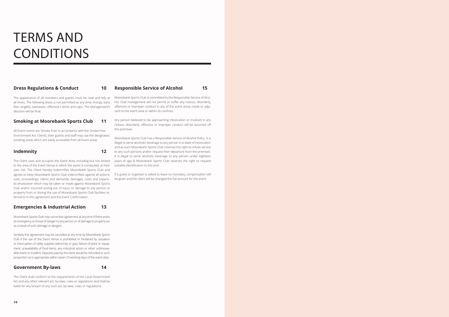# TERMS AND CONDITIONS

### **Dress Regulations & Conduct 10**

The appearance of all members and guests must be neat and tidy at all times. The following dress is not permitted at any time; thongs, bare feet, singlets, swimwear, offensive t-shirts and caps. The Management's decision will be final.

### **Smoking at Moorebank Sports Club 11**

All Event rooms are 'Smoke Free' in accordance with the Smoke Free Environment Act. Clients, their guests and staff may use the designated smoking areas which are easily accessible from all Event areas.

### **Indemnity 12**

The Client uses and occupies the Event Area, including but not limited to the area of the Event Venue in which the event is conducted, at their own risk. The Client hereby indemnifies Moorebank Sports Club and agrees to keep Moorebank Sports Club indemnified, against all actions, If a guest or organiser is asked to leave no monetary compensation will suits, proceedings, claims and demands, damages, costs and expenses whatsoever which may be taken or made against Moorebank Sports Club and/or incurred arising out of injury or damage to any person or property from or during the use of Moorebank Sports Club facilities referred to in this agreement and the Event Confirmation.

### **Emergencies & Industrial Action 13**

Moorebank Sports Club may cancel this agreement at any time if there exists an emergency or threat of danger to any person or of damage to property (or as a result of such damage or danger).

Similarly this agreement may be cancelled at any time by Moorebank Sports Club if the use of the Event Venue is prohibited or hindered by cessation or interruption of utility supplies (electricity or gas), failure of plant or equipment, unavailability of food items, any industrial action or other unforeseeable event or incident. Deposits paid by the client would be refunded or such proportion as is appropriate within seven (7) working days of the event date.

### **Government By-laws 14**

The Client shall conform to the requirements of the Local Government Act and any other relevant act, by-laws, rules or regulations and shall be liable for any breach of any such act, by-laws, rules or regulations.

## **Responsible Service of Alcohol 15**

Moorebank Sports Club is committed to the Responsible Service of Alcohol. Club management will not permit or suffer any riotous, disorderly, offensive or improper conduct in any of the event areas inside or adjacent to the event area or within its confines.

Any person believed to be approaching intoxication or involved in any riotous, disorderly, offensive or improper conduct will be escorted off the premises.

Moorebank Sports Club has a Responsible Service of Alcohol Policy. It is illegal to serve alcoholic beverage to any person in a state of intoxication and as such Moorebank Sports Club reserves the right to refuse service to any such persons and/or request their departure from the premises. It is illegal to serve alcoholic beverage to any person under eighteen years of age & Moorebank Sports Club reserves the right to request suitable identification to this end.

be given and the client will be changed the full amount for the event